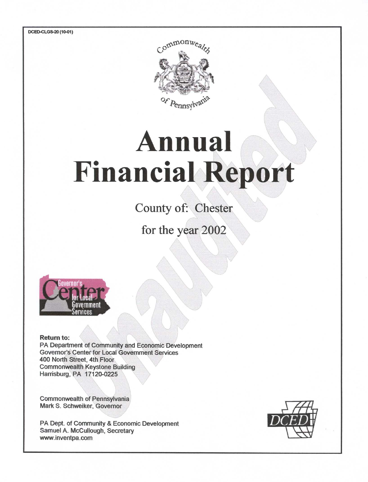

# **Annual Financial Report**

County of: Chester

for the year 2002



**Return to:** 

PA Department of Community and Economic Development **Governor's Center for Local Government Services** 400 North Street, 4th Floor **Commonwealth Keystone Building** Harrisburg, PA 17120-0225

Commonwealth of Pennsylvania Mark S. Schweiker, Governor

PA Dept. of Community & Economic Development Samuel A. McCullough, Secretary www.inventpa.com

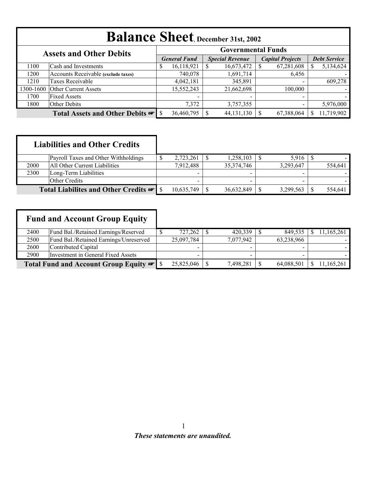|           | <b>Balance Sheet</b> , December 31st, 2002                  |    |                     |  |                        |                         |                          |                     |            |  |
|-----------|-------------------------------------------------------------|----|---------------------|--|------------------------|-------------------------|--------------------------|---------------------|------------|--|
|           | <b>Governmental Funds</b><br><b>Assets and Other Debits</b> |    |                     |  |                        |                         |                          |                     |            |  |
|           |                                                             |    | <b>General Fund</b> |  | <b>Special Revenue</b> | <b>Capital Projects</b> |                          | <b>Debt Service</b> |            |  |
| 1100      | Cash and Investments                                        | \$ | 16,118,921          |  | 16,673,472             |                         | 67,281,608               |                     | 5,134,624  |  |
| 1200      | Accounts Receivable (exclude taxes)                         |    | 740,078             |  | 1,691,714              |                         | 6,456                    |                     |            |  |
| 1210      | Taxes Receivable                                            |    | 4,042,181           |  | 345,891                |                         | $\overline{\phantom{0}}$ |                     | 609,278    |  |
| 1300-1600 | <b>Other Current Assets</b>                                 |    | 15,552,243          |  | 21,662,698             |                         | 100,000                  |                     |            |  |
| 1700      | <b>Fixed Assets</b>                                         |    |                     |  | $\,$                   |                         | $\overline{\phantom{0}}$ |                     |            |  |
| 1800      | Other Debits                                                |    | 7,372               |  | 3,757,355              |                         | $\overline{\phantom{0}}$ |                     | 5,976,000  |  |
|           |                                                             |    | 36,460,795          |  | 44, 131, 130           |                         | 67,388,064               |                     | 11,719,902 |  |

|      | <b>Liabilities and Other Credits</b>              |            |            |           |         |
|------|---------------------------------------------------|------------|------------|-----------|---------|
|      | Payroll Taxes and Other Withholdings              | 2,723,261  | 1,258,103  |           |         |
| 2000 | All Other Current Liabilities                     | 7,912,488  | 35,374,746 | 3,293,647 | 554,641 |
| 2300 | Long-Term Liabilities                             |            |            |           |         |
|      | Other Credits                                     |            |            |           |         |
|      | Total Liabilites and Other Credits <del>®</del> S | 10,635,749 | 36,632,849 | 3,299,563 | 554.641 |

| <b>Fund and Account Group Equity</b> |                                           |  |            |                          |            |            |
|--------------------------------------|-------------------------------------------|--|------------|--------------------------|------------|------------|
| 2400                                 | Fund Bal./Retained Earnings/Reserved      |  | 727,262    | 420,339                  | 849,535    | 11,165,261 |
| 2500                                 | Fund Bal./Retained Earnings/Unreserved    |  | 25,097,784 | 7,077,942                | 63,238,966 |            |
| 2600                                 | Contributed Capital                       |  |            | $\overline{\phantom{0}}$ |            |            |
| 2900                                 | <b>Investment in General Fixed Assets</b> |  |            |                          |            |            |
|                                      |                                           |  | 25,825,046 | 7,498,281                | 64,088,501 | 11,165,261 |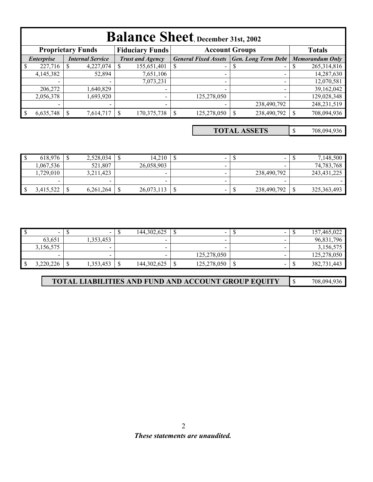|                                              | <b>Balance Sheet</b> , December 31st, 2002                                                   |                          |                         |                 |                             |                            |             |                        |               |  |
|----------------------------------------------|----------------------------------------------------------------------------------------------|--------------------------|-------------------------|-----------------|-----------------------------|----------------------------|-------------|------------------------|---------------|--|
|                                              | <b>Proprietary Funds</b><br><b>Fiduciary Funds</b><br><b>Account Groups</b><br><b>Totals</b> |                          |                         |                 |                             |                            |             |                        |               |  |
| <b>Internal Service</b><br><i>Enterprise</i> |                                                                                              |                          | <b>Trust and Agency</b> |                 | <b>General Fixed Assets</b> | <b>Gen. Long Term Debt</b> |             | <b>Memorandum Only</b> |               |  |
| $\overline{\mathbf{S}}$                      | 227,716                                                                                      | 4,227,074                |                         | 155,651,401     | S                           | $\sim$                     | S           |                        | 265,314,816   |  |
|                                              | 4,145,382                                                                                    | 52,894                   |                         | 7,651,106       |                             | $\overline{\phantom{0}}$   |             |                        | 14,287,630    |  |
|                                              |                                                                                              |                          |                         | 7,073,231       |                             | $\overline{\phantom{0}}$   |             |                        | 12,070,581    |  |
|                                              | 206,272                                                                                      | .640,829                 |                         |                 |                             |                            |             |                        | 39,162,042    |  |
|                                              | 2,056,378                                                                                    | .693,920                 |                         |                 |                             | 125,278,050                |             |                        | 129,028,348   |  |
|                                              | $\overline{\phantom{a}}$                                                                     | $\overline{\phantom{a}}$ |                         | $\qquad \qquad$ |                             |                            | 238,490,792 |                        | 248, 231, 519 |  |
|                                              | 6,635,748                                                                                    | 7,614,717                |                         | 170, 375, 738   |                             | 125,278,050                | 238,490,792 |                        | 708,094,936   |  |

\$ 708,094,936 **TOTAL ASSETS**

| 618.976                  | 2,528,034 | ۰IJ | 14.210     | $\sim$ | -           | 7,148,500     |
|--------------------------|-----------|-----|------------|--------|-------------|---------------|
| ,067,536                 | 521,807   |     | 26,058,903 |        |             | 74,783,768    |
| ,729,010                 | 3,211,423 |     |            |        | 238,490,792 | 243, 431, 225 |
| $\overline{\phantom{0}}$ |           |     |            |        |             |               |
| 3,415,522                | 6,261,264 | ₼   | 26,073,113 | $\sim$ | 238,490,792 | 325, 363, 493 |

|     |           | $\sim$                   | $\sqrt{2}$<br>- 12 | 144.302.625   | -           |                          |    | 157,465,022 |
|-----|-----------|--------------------------|--------------------|---------------|-------------|--------------------------|----|-------------|
|     | 63,651    | ,353,453                 |                    |               |             |                          |    | 96,831,796  |
|     | 3,156,575 | $\overline{\phantom{0}}$ |                    | -             |             |                          |    | 3,156,575   |
|     |           |                          |                    |               | 125,278,050 |                          |    | 125,278,050 |
| -\$ | 3,220,226 | ,353,453                 |                    | 144, 302, 625 | 125,278,050 | $\overline{\phantom{0}}$ | мB | 382,731,443 |

| <b>TOTAL LIABILITIES AND FUND AND ACCOUNT GROUP EQUITY</b> |  | 708,094,936 |
|------------------------------------------------------------|--|-------------|
|------------------------------------------------------------|--|-------------|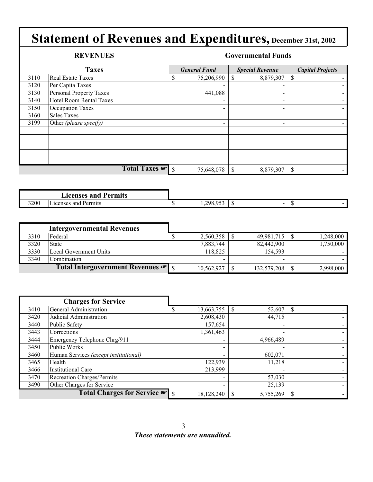|      | <b>REVENUES</b>                |    |                          | <b>Governmental Funds</b>  |                         |
|------|--------------------------------|----|--------------------------|----------------------------|-------------------------|
|      | <b>Taxes</b>                   |    | <b>General Fund</b>      | <b>Special Revenue</b>     | <b>Capital Projects</b> |
| 3110 | <b>Real Estate Taxes</b>       | S  | 75,206,990               | 8,879,307                  | \$                      |
| 3120 | Per Capita Taxes               |    |                          |                            |                         |
| 3130 | <b>Personal Property Taxes</b> |    | 441,088                  | -                          |                         |
| 3140 | Hotel Room Rental Taxes        |    |                          |                            |                         |
| 3150 | <b>Occupation Taxes</b>        |    |                          | $\overline{\phantom{0}}$   |                         |
| 3160 | <b>Sales Taxes</b>             |    | $\overline{\phantom{0}}$ |                            |                         |
| 3199 | Other (please specify)         |    |                          | $\overline{\phantom{0}}$   |                         |
|      |                                |    |                          |                            |                         |
|      |                                |    |                          |                            |                         |
|      |                                |    |                          |                            |                         |
|      |                                |    |                          |                            |                         |
|      |                                |    |                          |                            |                         |
|      | Total Taxes                    | -S | 75,648,078               | $\mathcal{S}$<br>8,879,307 | S                       |

|      | <b>Acenses and</b><br>Permits<br>___ |                                                                      |        |
|------|--------------------------------------|----------------------------------------------------------------------|--------|
| 3200 | $-$<br>Permits<br>Licenses and       | $\bigcap_{n\in\mathbb{N}}$<br>298<br>$\mathbf{u}$<br>. <i>.</i><br>. | $\sim$ |

|      | <b>Intergovernmental Revenues</b> |            |                   |           |
|------|-----------------------------------|------------|-------------------|-----------|
| 3310 | Federal                           | 2,560,358  | $49,981,715$   \$ | 1,248,000 |
| 3320 | <b>State</b>                      | 7,883,744  | 82,442,900        | 1,750,000 |
| 3330 | Local Government Units            | 118,825    | 154,593           |           |
| 3340 | Combination                       | $\,$       |                   |           |
|      | Total Intergovernment Revenues    | 10,562,927 | 132,579,208       | 2,998,000 |

|      | <b>Charges for Service</b>                        |            |                          |  |
|------|---------------------------------------------------|------------|--------------------------|--|
| 3410 | General Administration                            | 13,663,755 | 52,607                   |  |
| 3420 | Judicial Administration                           | 2,608,430  | 44,715                   |  |
| 3440 | Public Safety                                     | 157,654    | $\blacksquare$           |  |
| 3443 | Corrections                                       | 1,361,463  | $\overline{\phantom{a}}$ |  |
| 3444 | Emergency Telephone Chrg/911                      |            | 4,966,489                |  |
| 3450 | Public Works                                      |            |                          |  |
| 3460 | Human Services (except institutional)             |            | 602,071                  |  |
| 3465 | Health                                            | 122,939    | 11,218                   |  |
| 3466 | <b>Institutional Care</b>                         | 213,999    |                          |  |
| 3470 | <b>Recreation Charges/Permits</b>                 |            | 53,030                   |  |
| 3490 | Other Charges for Service                         |            | 25,139                   |  |
|      | Total Charges for Service $\blacktriangleright$ s | 18,128,240 | 5,755,269                |  |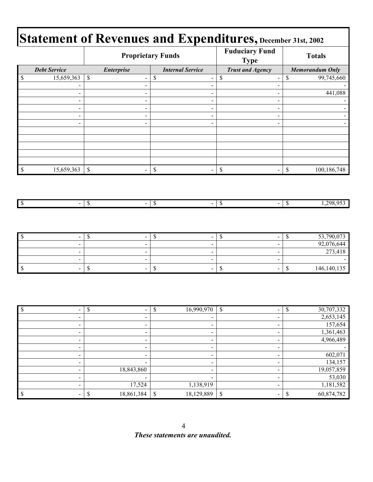|                          |                                  |                                         | <b>Proprietary Funds</b> | <b>Fuduciary Fund</b><br><b>Type</b>                                   | <b>Totals</b>                         |
|--------------------------|----------------------------------|-----------------------------------------|--------------------------|------------------------------------------------------------------------|---------------------------------------|
|                          | <b>Debt Service</b>              | <b>Enterprise</b>                       | <b>Internal Service</b>  | <b>Trust and Agency</b>                                                | <b>Memorandum Only</b>                |
| \$                       | 15,659,363                       | $\mathbb S$<br>$\overline{\phantom{0}}$ | \$                       | \$<br>$\blacksquare$<br>$\qquad \qquad \blacksquare$                   | \$<br>99,745,660                      |
|                          | $\blacksquare$                   | $\blacksquare$                          |                          | $\blacksquare$<br>$\blacksquare$                                       |                                       |
|                          | $\sim$                           | $\blacksquare$                          |                          | $\blacksquare$<br>$\sim$                                               | 441,088                               |
|                          | $\blacksquare$                   | $\blacksquare$                          |                          | $\overline{\phantom{0}}$<br>$\blacksquare$                             |                                       |
|                          | $\qquad \qquad \blacksquare$     | $\qquad \qquad \blacksquare$            |                          | $\blacksquare$<br>$\blacksquare$                                       |                                       |
|                          | $\blacksquare$<br>$\blacksquare$ | $\overline{\phantom{a}}$<br>۰           |                          | $\blacksquare$<br>$\blacksquare$<br>$\blacksquare$<br>$\sim$           |                                       |
|                          |                                  |                                         |                          |                                                                        |                                       |
|                          |                                  |                                         |                          |                                                                        |                                       |
|                          |                                  |                                         |                          |                                                                        |                                       |
|                          |                                  |                                         |                          |                                                                        |                                       |
|                          |                                  |                                         |                          |                                                                        |                                       |
| $\mathbb{S}$             | 15,659,363                       | $\mathbb{S}$                            | $\mathbb S$              | $\mathbb S$<br>$\overline{a}$                                          | $\mathbb S$<br>100,186,748            |
| $\sqrt{S}$               | $\frac{1}{2}$                    | $\sqrt{3}$<br>$\overline{\phantom{0}}$  | $\overline{\mathcal{S}}$ | $-$ \$<br>$\overline{\phantom{a}}$                                     | 1,298,953<br>$\overline{\mathcal{S}}$ |
|                          |                                  |                                         |                          |                                                                        |                                       |
|                          |                                  |                                         |                          |                                                                        |                                       |
| $\overline{\mathcal{S}}$ | $\blacksquare$                   | $\overline{\mathcal{S}}$                | $\overline{\mathcal{S}}$ | $\overline{\mathcal{S}}$<br>$\overline{a}$<br>$\overline{\phantom{a}}$ | 53,790,073<br>$\$$                    |
|                          | $\blacksquare$                   | $\qquad \qquad \blacksquare$            |                          | $\blacksquare$<br>$\blacksquare$                                       | 92,076,644                            |
|                          | $\blacksquare$                   | $\overline{\phantom{0}}$                |                          | $\blacksquare$<br>$\blacksquare$                                       | 273,418                               |
|                          | $\blacksquare$                   | $\overline{\phantom{0}}$                |                          | $\blacksquare$<br>$\blacksquare$                                       |                                       |
| $\mathbb S$              | $\mathbf{r}$                     | $\mathbb S$                             | $\mathbb S$              | $\mathbb S$<br>$\blacksquare$                                          | $\mathbb S$<br>146, 140, 135          |
|                          |                                  |                                         |                          |                                                                        |                                       |
| <b>¢</b>                 |                                  | $\overline{\mathbf{r}}$                 | $\overline{\mathbf{r}}$  |                                                                        | 30.707.332<br>$\overline{\mathbf{r}}$ |

| -                        | $\sim$                   | 16,990,970<br>$\mathcal{S}$  | $\mathbb{S}$<br>$\blacksquare$ | 30,707,332<br><sup>\$</sup> |
|--------------------------|--------------------------|------------------------------|--------------------------------|-----------------------------|
| -                        | $\blacksquare$           |                              | $\overline{\phantom{a}}$       | 2,653,145                   |
| $\overline{\phantom{0}}$ | $\blacksquare$           | -                            | $\blacksquare$                 | 157,654                     |
| -                        | $\overline{\phantom{0}}$ |                              |                                | 1,361,463                   |
|                          | $\overline{\phantom{0}}$ |                              |                                | 4,966,489                   |
|                          |                          |                              |                                |                             |
| $\overline{\phantom{0}}$ | $\overline{\phantom{0}}$ | -                            |                                | 602,071                     |
| $\overline{\phantom{0}}$ | $\overline{\phantom{0}}$ | -                            |                                | 134,157                     |
|                          | 18,843,860               | $\overline{\phantom{0}}$     |                                | 19,057,859                  |
| $\blacksquare$           | $\blacksquare$           | $\qquad \qquad \blacksquare$ | $\overline{\phantom{a}}$       | 53,030                      |
| -                        | 17,524                   | 1,138,919                    |                                | 1,181,582                   |
|                          | 18,861,384               | \$<br>18,129,889             | \$                             | 60,874,782                  |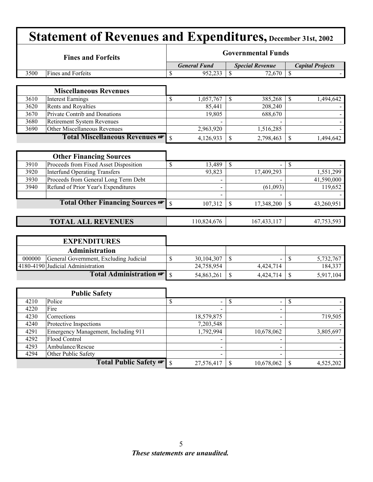|        | <b>Statement of Revenues and Expenditures, December 31st, 2002</b> |                           |                     |               |                        |                         |            |  |  |
|--------|--------------------------------------------------------------------|---------------------------|---------------------|---------------|------------------------|-------------------------|------------|--|--|
|        | <b>Fines and Forfeits</b>                                          | <b>Governmental Funds</b> |                     |               |                        |                         |            |  |  |
|        |                                                                    |                           | <b>General Fund</b> |               | <b>Special Revenue</b> | <b>Capital Projects</b> |            |  |  |
| 3500   | Fines and Forfeits                                                 | \$                        | 952,233             | $\mathbf S$   | 72,670                 | $\mathcal{S}$           |            |  |  |
|        |                                                                    |                           |                     |               |                        |                         |            |  |  |
|        | <b>Miscellaneous Revenues</b>                                      |                           |                     |               |                        |                         |            |  |  |
| 3610   | <b>Interest Earnings</b>                                           | \$                        | 1,057,767           | <sup>\$</sup> | 385,268                | <sup>\$</sup>           | 1,494,642  |  |  |
| 3620   | Rents and Royalties                                                |                           | 85,441              |               | 208,240                |                         |            |  |  |
| 3670   | Private Contrib and Donations                                      |                           | 19,805              |               | 688,670                |                         |            |  |  |
| 3680   | <b>Retirement System Revenues</b>                                  |                           |                     |               |                        |                         |            |  |  |
| 3690   | Other Miscellaneous Revenues                                       |                           | 2,963,920           |               | 1,516,285              |                         |            |  |  |
|        | Total Miscellaneous Revenues                                       | $\mathbf S$               | 4,126,933           | \$            | 2,798,463              | \$                      | 1,494,642  |  |  |
|        |                                                                    |                           |                     |               |                        |                         |            |  |  |
|        | <b>Other Financing Sources</b>                                     |                           |                     |               |                        |                         |            |  |  |
| 3910   | Proceeds from Fixed Asset Disposition                              | \$                        | 13,489              | $\mathbb{S}$  |                        | $\mathcal{S}$           |            |  |  |
| 3920   | <b>Interfund Operating Transfers</b>                               |                           | 93,823              |               | 17,409,293             |                         | 1,551,299  |  |  |
| 3930   | Proceeds from General Long Term Debt                               |                           |                     |               |                        |                         | 41,590,000 |  |  |
| 3940   | Refund of Prior Year's Expenditures                                |                           |                     |               | (61,093)               |                         | 119,652    |  |  |
|        |                                                                    |                           |                     |               |                        |                         |            |  |  |
|        | Total Other Financing Sources                                      | \$                        | 107,312             | \$            | 17,348,200             | \$                      | 43,260,951 |  |  |
|        |                                                                    |                           |                     |               |                        |                         |            |  |  |
|        | <b>TOTAL ALL REVENUES</b>                                          |                           | 110,824,676         |               | 167,433,117            |                         | 47,753,593 |  |  |
|        |                                                                    |                           |                     |               |                        |                         |            |  |  |
|        | <b>EXPENDITURES</b>                                                |                           |                     |               |                        |                         |            |  |  |
|        | Administration                                                     |                           |                     |               |                        |                         |            |  |  |
| 000000 | General Government, Excluding Judicial                             | \$                        | 30,104,307          | \$            |                        | $\mathcal{S}$           | 5,732,767  |  |  |
|        | 4180-4190 Judicial Administration                                  |                           | 24,758,954          |               | 4,424,714              |                         | 184,337    |  |  |
|        | Total Administration                                               | \$                        | 54,863,261          | \$            | 4,424,714              | $\mathbb S$             | 5,917,104  |  |  |
|        |                                                                    |                           |                     |               |                        |                         |            |  |  |
|        |                                                                    |                           |                     |               |                        |                         |            |  |  |
|        | <b>Public Safety</b>                                               |                           |                     |               |                        |                         |            |  |  |
| 4210   | Police                                                             | \$                        | $\blacksquare$      | S             | $\blacksquare$         | S                       |            |  |  |
| 4220   | Fire                                                               |                           |                     |               |                        |                         |            |  |  |
| 4230   | Corrections                                                        |                           | 18,579,875          |               |                        |                         | 719,505    |  |  |
| 4240   | Protective Inspections                                             |                           | 7,203,548           |               |                        |                         |            |  |  |
| 4291   | Emergency Management, Including 911                                |                           | 1,792,994           |               | 10,678,062             |                         | 3,805,697  |  |  |
| 4292   | Flood Control                                                      |                           |                     |               |                        |                         |            |  |  |
| 4293   | Ambulance/Rescue                                                   |                           |                     |               |                        |                         |            |  |  |
| 4294   | Other Public Safety                                                |                           |                     |               |                        |                         |            |  |  |
|        | Total Public Safety                                                | $\mathcal{S}$             | 27,576,417          | \$            | 10,678,062             | \$                      | 4,525,202  |  |  |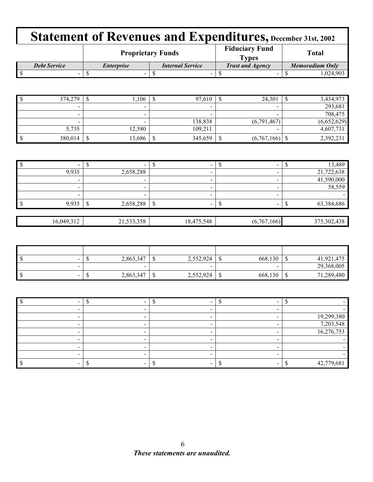|                     |                          | <b>Proprietary Funds</b> | <b>Fiduciary Fund</b><br><b>Types</b> | <b>Total</b>    |  |  |
|---------------------|--------------------------|--------------------------|---------------------------------------|-----------------|--|--|
| <b>Debt Service</b> | <i><b>Enterprise</b></i> | <b>Internal Service</b>  | <b>Trust and Agency</b>               | Memoradium Only |  |  |
|                     |                          |                          |                                       | .024.903        |  |  |

| 374,279 | Ψ | 1,106  | Ψ | 97,610                   | Φ | 24,301                   | 3,434,973   |
|---------|---|--------|---|--------------------------|---|--------------------------|-------------|
| $\,$    |   |        |   | $\overline{\phantom{a}}$ |   | $\overline{\phantom{a}}$ | 293,681     |
| $\,$    |   |        |   | $\overline{\phantom{a}}$ |   | $\overline{\phantom{a}}$ | 708,475     |
| -       |   | -      |   | 138,838                  |   | (6,791,467)              | (6,652,629) |
| 5,735   |   | 12,580 |   | 109,211                  |   |                          | 4,607,731   |
| 380,014 |   | 13,686 |   | 345,659                  | P | (6,767,166)              | 2,392,231   |

| $\overline{\phantom{a}}$ |            |                          |    | -                        | $\overline{\phantom{a}}$ | 13,489      |
|--------------------------|------------|--------------------------|----|--------------------------|--------------------------|-------------|
|                          | 9,935      | 2,658,288                |    | $\overline{\phantom{a}}$ |                          | 21,722,638  |
|                          | -          | $\overline{\phantom{a}}$ |    | -                        |                          | 41,590,000  |
|                          |            | $\overline{\phantom{a}}$ |    | -                        |                          | 58,559      |
|                          |            |                          |    |                          |                          |             |
| 1 S                      | 9,935      | 2,658,288                | ΨD |                          | $\overline{\phantom{a}}$ | 63,384,686  |
|                          |            |                          |    |                          |                          |             |
|                          | 16,049,312 | 21,533,358               |    | 18,475,548               | (6,767,166)              | 375,302,438 |

| - S<br>$\sim$                            | 2,863,347 | $\sqrt{2}$<br>w | 2,552,924                | w | 668,130 |                        | 41,921,475 |
|------------------------------------------|-----------|-----------------|--------------------------|---|---------|------------------------|------------|
| $\sim$                                   | -         |                 | $\overline{\phantom{a}}$ |   | -       |                        | 29,368,005 |
| <sup>S</sup><br>$\overline{\phantom{a}}$ | 2,863,347 | m<br>◡          | 2,552,924                | Ψ | 668,130 | $\sqrt{2}$<br><b>u</b> | 71,289,480 |

|  |  | 19,299,380 |
|--|--|------------|
|  |  | 7,203,548  |
|  |  | 16,276,753 |
|  |  |            |
|  |  |            |
|  |  |            |
|  |  | 42,779,681 |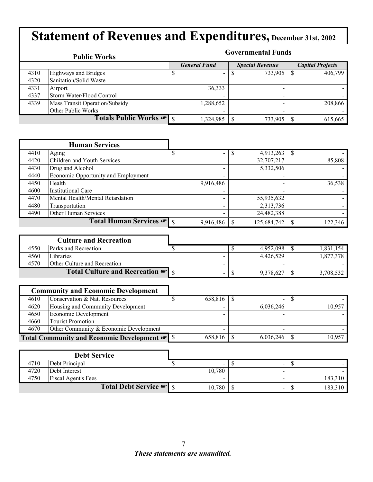|      | <b>Public Works</b>            | <b>Governmental Funds</b> |                          |  |                          |  |                         |  |  |
|------|--------------------------------|---------------------------|--------------------------|--|--------------------------|--|-------------------------|--|--|
|      |                                |                           | <b>General Fund</b>      |  | <b>Special Revenue</b>   |  | <b>Capital Projects</b> |  |  |
| 4310 | Highways and Bridges           |                           | $\blacksquare$           |  | 733,905                  |  | 406,799                 |  |  |
| 4320 | Sanitation/Solid Waste         |                           | $\overline{\phantom{0}}$ |  | $\overline{\phantom{0}}$ |  |                         |  |  |
| 4331 | Airport                        |                           | 36,333                   |  | $\overline{\phantom{0}}$ |  |                         |  |  |
| 4337 | Storm Water/Flood Control      |                           | $\overline{\phantom{0}}$ |  | -                        |  |                         |  |  |
| 4339 | Mass Transit Operation/Subsidy |                           | .288,652                 |  | $\,$                     |  | 208,866                 |  |  |
|      | Other Public Works             |                           |                          |  |                          |  |                         |  |  |
|      | Totals Public Works            |                           | 1,324,985                |  | 733,905                  |  | 615,665                 |  |  |

|      | <b>Human Services</b>               |                          |             |                          |         |
|------|-------------------------------------|--------------------------|-------------|--------------------------|---------|
| 4410 | Aging                               | $\overline{\phantom{a}}$ | 4,913,263   | S                        |         |
| 4420 | Children and Youth Services         | $\overline{\phantom{a}}$ | 32,707,217  |                          | 85,808  |
| 4430 | Drug and Alcohol                    | $\overline{\phantom{0}}$ | 5,332,506   |                          |         |
| 4440 | Economic Opportunity and Employment |                          |             |                          |         |
| 4450 | Health                              | 9,916,486                |             | $\overline{\phantom{0}}$ | 36,538  |
| 4600 | <b>Institutional Care</b>           |                          |             | $\overline{\phantom{0}}$ |         |
| 4470 | Mental Health/Mental Retardation    |                          | 55,935,632  |                          |         |
| 4480 | Transportation                      |                          | 2,313,736   |                          |         |
| 4490 | Other Human Services                | $\overline{\phantom{a}}$ | 24,482,388  |                          |         |
|      | Total Human Services <del>·</del>   | 9,916,486                | 125,684,742 |                          | 122,346 |

|      | <b>Culture and Recreation</b>               |  |           |           |
|------|---------------------------------------------|--|-----------|-----------|
| 4550 | <b>Parks and Recreation</b>                 |  | 4.952.098 | 1.831.154 |
| 4560 | Libraries                                   |  | 4.426.529 | .877.378  |
| 4570 | <b>Other Culture and Recreation</b>         |  | -         |           |
|      | Total Culture and Recreation $\mathbf{F}$ s |  | 9,378,627 | 3,708,532 |

|      | <b>Community and Economic Development</b> |         |                          |        |
|------|-------------------------------------------|---------|--------------------------|--------|
| 4610 | Conservation & Nat. Resources             | 658,816 | $\overline{\phantom{0}}$ |        |
| 4620 | Housing and Community Development         |         | 6,036,246                | 10,957 |
| 4650 | Economic Development                      |         | -                        |        |
| 4660 | <b>Tourist Promotion</b>                  |         | $\overline{\phantom{a}}$ |        |
| 4670 | Other Community & Economic Development    |         |                          |        |
|      |                                           | 658,816 | 6,036,246                | 10,957 |

|      | <b>Debt Service</b>               |        |                          |         |
|------|-----------------------------------|--------|--------------------------|---------|
| 4710 | Debt Principal                    | $\sim$ | -                        |         |
| 4720 | Debt Interest                     | 10.780 |                          |         |
| 4750 | <b>Fiscal Agent's Fees</b>        |        | -                        | 183,310 |
|      | Total Debt Service <del>®</del> s | 10,780 | $\overline{\phantom{a}}$ | 183,310 |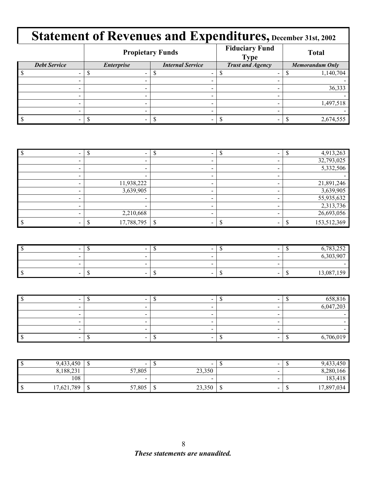|                     |                                              | <b>Propietary Funds</b> | <b>Fiduciary Fund</b><br><b>Type</b> | <b>Total</b>           |  |  |
|---------------------|----------------------------------------------|-------------------------|--------------------------------------|------------------------|--|--|
| <b>Debt Service</b> | <b>Internal Service</b><br><b>Enterprise</b> |                         | <b>Trust and Agency</b>              | <b>Memorandum Only</b> |  |  |
|                     |                                              |                         |                                      | 1,140,704              |  |  |
|                     |                                              |                         |                                      |                        |  |  |
|                     | -                                            |                         |                                      | 36,333                 |  |  |
|                     |                                              | -                       |                                      |                        |  |  |
|                     | -                                            |                         |                                      | 1,497,518              |  |  |
|                     |                                              |                         |                                      |                        |  |  |
|                     |                                              |                         |                                      | 2,674,555              |  |  |

|            |  | 4,913,263   |
|------------|--|-------------|
|            |  | 32,793,025  |
| -          |  | 5,332,506   |
| -          |  |             |
| 11,938,222 |  | 21,891,246  |
| 3,639,905  |  | 3,639,905   |
|            |  | 55,935,632  |
|            |  | 2,313,736   |
| 2,210,668  |  | 26,693,056  |
| 17,788,795 |  | 153,512,369 |

| $\sim$ | $\sim$ | $\sim$ | $\sim$ | 702                                 |
|--------|--------|--------|--------|-------------------------------------|
| $\sim$ |        |        |        | (202.02)                            |
|        |        | -      |        |                                     |
| $\sim$ | $\sim$ | $\sim$ | $\sim$ | ሰዩ<br>$\sim$<br>- 12<br>$\check{ }$ |

|  |   | 650016    |
|--|---|-----------|
|  | - | 6,047,203 |
|  | - |           |
|  | - |           |
|  | - |           |
|  |   | 6.706.019 |

| 9,433,450  | $\sim$<br>Ψ                | -11        | $\sim$ |      | $\sim$ | ື | 9,433,450  |
|------------|----------------------------|------------|--------|------|--------|---|------------|
| 8,188,231  | 57,805                     |            | 23,350 |      | $\sim$ |   | 8,280,166  |
| 108        | $\sim$                     |            | -      |      |        |   | 183,418    |
| 17,621,789 | 57,805<br>$\triangle$<br>ω | - 60<br>۰U | 23,350 | - JD | $\sim$ | ື | 17,897,034 |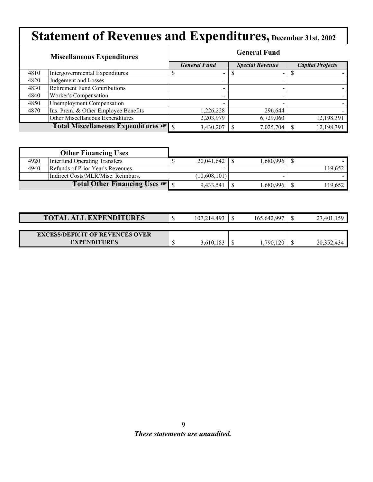|      | <b>Miscellaneous Expenditures</b>    |  | <b>General Fund</b>      |  |                        |  |                         |  |  |
|------|--------------------------------------|--|--------------------------|--|------------------------|--|-------------------------|--|--|
|      |                                      |  | <b>General Fund</b>      |  | <b>Special Revenue</b> |  | <b>Capital Projects</b> |  |  |
| 4810 | Intergovernmental Expenditures       |  |                          |  |                        |  |                         |  |  |
| 4820 | Judgement and Losses                 |  |                          |  | $\,$                   |  |                         |  |  |
| 4830 | <b>Retirement Fund Contributions</b> |  |                          |  |                        |  |                         |  |  |
| 4840 | Worker's Compensation                |  | $\overline{\phantom{0}}$ |  | -                      |  |                         |  |  |
| 4850 | <b>Unemployment Compensation</b>     |  |                          |  |                        |  |                         |  |  |
| 4870 | Ins. Prem. & Other Employee Benefits |  | 1,226,228                |  | 296,644                |  |                         |  |  |
|      | Other Miscellaneous Expenditures     |  | 2,203,979                |  | 6,729,060              |  | 12,198,391              |  |  |
|      | Total Miscellaneous Expenditures     |  | 3,430,207                |  | 7,025,704              |  | 12,198,391              |  |  |

|      | <b>Other Financing Uses</b>        |              |          |         |
|------|------------------------------------|--------------|----------|---------|
| 4920 | Interfund Operating Transfers      | 20,041,642   | .680.996 |         |
| 4940 | Refunds of Prior Year's Revenues   | -            | -        | 119,652 |
|      | Indirect Costs/MLR/Misc. Reimburs. | (10,608,101) |          |         |
|      | Total Other Financing Uses         | 9,433,541    | .680,996 | 119,652 |

| <b>TOTAL ALL EXPENDITURES</b>          | 107.214.493 | 165,642,997 | 27,401     |
|----------------------------------------|-------------|-------------|------------|
|                                        |             |             |            |
| <b>EXCESS/DEFICIT OF REVENUES OVER</b> |             |             |            |
| <b>EXPENDITURES</b>                    | 3,610,183   | 790.<br>120 | 20,352,434 |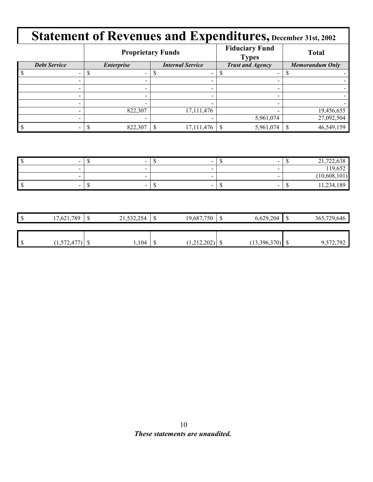|                     |                   | <b>Proprietary Funds</b> | <b>Fiduciary Fund</b><br><b>Types</b> | <b>Total</b>           |
|---------------------|-------------------|--------------------------|---------------------------------------|------------------------|
| <b>Debt Service</b> | <b>Enterprise</b> | <b>Internal Service</b>  | <b>Trust and Agency</b>               | <b>Memorandum Only</b> |
|                     |                   |                          |                                       |                        |
|                     |                   |                          |                                       |                        |
|                     |                   |                          |                                       |                        |
|                     |                   |                          |                                       |                        |
| -                   |                   |                          |                                       |                        |
|                     | 822,307           | 17,111,476               |                                       | 19,456,655             |
|                     |                   |                          | 5,961,074                             | 27,092,504             |
|                     | 822,307           | 17,111,476               | 5,961,074                             | 46,549,159             |

| $\overline{\phantom{a}}$ | $\sim$<br>- 11           | $\overline{\phantom{a}}$<br>. . |        | $\epsilon$ 20<br>21.722<br>722,030<br>$\sim$ 1.    |
|--------------------------|--------------------------|---------------------------------|--------|----------------------------------------------------|
| $\sim$                   |                          | $\sim$                          |        | $\sim$ $\sim$ $\sim$ $\sim$ $\sim$<br>119<br>1.052 |
|                          |                          |                                 |        | 101 <sub>1</sub><br>10,608                         |
| $\sim$                   | $\overline{\phantom{a}}$ | $\overline{\phantom{a}}$        | $\sim$ | ,189<br>11,234                                     |

| ۰U  | 17,621,789 | $\Gamma$<br>Ψ | 21,532,254 | ື | 19,687,750       | ۰ų, | 6,629,204    | 365,729,646 |
|-----|------------|---------------|------------|---|------------------|-----|--------------|-------------|
|     |            |               |            |   |                  |     |              |             |
|     |            |               |            |   |                  |     |              |             |
| - D | (1,572,47) | ◡             | ,104       | ັ | ാറാ<br>1.414.404 |     | (13,396,370) | 9,572,792   |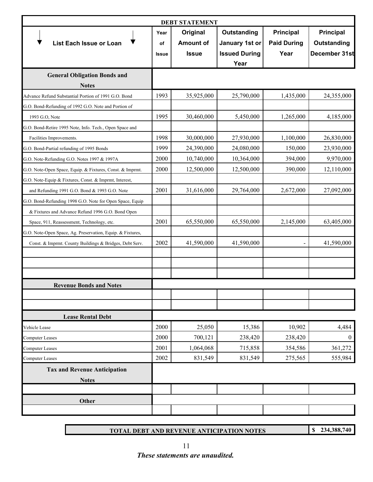|                                                            | <b>DEBT STATEMENT</b> |                  |                      |                    |                  |  |
|------------------------------------------------------------|-----------------------|------------------|----------------------|--------------------|------------------|--|
|                                                            | Year                  | Original         | Outstanding          | <b>Principal</b>   | <b>Principal</b> |  |
| <b>List Each Issue or Loan</b>                             | of                    | <b>Amount of</b> | January 1st or       | <b>Paid During</b> | Outstanding      |  |
|                                                            | <b>Issue</b>          | <b>Issue</b>     | <b>Issued During</b> | Year               | December 31st    |  |
|                                                            |                       |                  | Year                 |                    |                  |  |
| <b>General Obligation Bonds and</b>                        |                       |                  |                      |                    |                  |  |
| <b>Notes</b>                                               |                       |                  |                      |                    |                  |  |
| Advance Refund Substantial Portion of 1991 G.O. Bond       | 1993                  | 35,925,000       | 25,790,000           | 1,435,000          | 24,355,000       |  |
| G.O. Bond-Refunding of 1992 G.O. Note and Portion of       |                       |                  |                      |                    |                  |  |
| 1993 G.O, Note                                             | 1995                  | 30,460,000       | 5,450,000            | 1,265,000          | 4,185,000        |  |
| G.O. Bond-Retire 1995 Note, Info. Tech., Open Space and    |                       |                  |                      |                    |                  |  |
| Facilities Improvements.                                   | 1998                  | 30,000,000       | 27,930,000           | 1,100,000          | 26,830,000       |  |
| G.O. Bond-Partial refunding of 1995 Bonds                  | 1999                  | 24,390,000       | 24,080,000           | 150,000            | 23,930,000       |  |
| G.O. Note-Refunding G.O. Notes 1997 & 1997A                | 2000                  | 10,740,000       | 10,364,000           | 394,000            | 9,970,000        |  |
| G.O. Note-Open Space, Equip. & Fixtures, Const. & Imprmt.  | 2000                  | 12,500,000       | 12,500,000           | 390,000            | 12,110,000       |  |
| G.O. Note-Equip & Fixtures, Const. & Imprmt, Interest,     |                       |                  |                      |                    |                  |  |
| and Refunding 1991 G.O. Bond & 1993 G.O. Note              | 2001                  | 31,616,000       | 29,764,000           | 2,672,000          | 27,092,000       |  |
| G.O. Bond-Refunding 1998 G.O. Note for Open Space, Equip   |                       |                  |                      |                    |                  |  |
| & Fixtures and Advance Refund 1996 G.O. Bond Open          |                       |                  |                      |                    |                  |  |
| Space, 911, Reassessment, Technology, etc.                 | 2001                  | 65,550,000       | 65,550,000           | 2,145,000          | 63,405,000       |  |
| G.O. Note-Open Space, Ag. Preservation, Equip. & Fixtures, |                       |                  |                      |                    |                  |  |
| Const. & Imprmt. County Buildings & Bridges, Debt Serv.    | 2002                  | 41,590,000       | 41,590,000           |                    | 41,590,000       |  |
|                                                            |                       |                  |                      |                    |                  |  |
|                                                            |                       |                  |                      |                    |                  |  |
|                                                            |                       |                  |                      |                    |                  |  |
| <b>Revenue Bonds and Notes</b>                             |                       |                  |                      |                    |                  |  |
|                                                            |                       |                  |                      |                    |                  |  |
|                                                            |                       |                  |                      |                    |                  |  |
| <b>Lease Rental Debt</b>                                   |                       |                  |                      |                    |                  |  |
| Vehicle Lease                                              | 2000                  | 25,050           | 15,386               | 10,902             | 4,484            |  |
| Computer Leases                                            | 2000                  | 700,121          | 238,420              | 238,420            | $\boldsymbol{0}$ |  |
| <b>Computer Leases</b>                                     | 2001                  | 1,064,068        | 715,858              | 354,586            | 361,272          |  |
| <b>Computer Leases</b>                                     | 2002                  | 831,549          | 831,549              | 275,565            | 555,984          |  |
| <b>Tax and Revenue Anticipation</b>                        |                       |                  |                      |                    |                  |  |
| <b>Notes</b>                                               |                       |                  |                      |                    |                  |  |
|                                                            |                       |                  |                      |                    |                  |  |
| Other                                                      |                       |                  |                      |                    |                  |  |
|                                                            |                       |                  |                      |                    |                  |  |

**TOTAL DEBT AND REVENUE ANTICIPATION NOTES**

**\$ 234,388,740**

11 *These statements are unaudited.*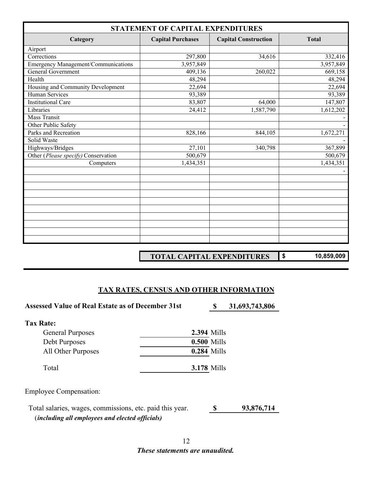| STATEMENT OF CAPITAL EXPENDITURES          |                          |                             |              |  |  |  |
|--------------------------------------------|--------------------------|-----------------------------|--------------|--|--|--|
| Category                                   | <b>Capital Purchases</b> | <b>Capital Construction</b> | <b>Total</b> |  |  |  |
| Airport                                    |                          |                             |              |  |  |  |
| Corrections                                | 297,800                  | 34,616                      | 332,416      |  |  |  |
| <b>Emergency Management/Communications</b> | 3,957,849                |                             | 3,957,849    |  |  |  |
| General Government                         | 409,136                  | 260,022                     | 669,158      |  |  |  |
| Health                                     | 48,294                   |                             | 48,294       |  |  |  |
| Housing and Community Development          | 22,694                   |                             | 22,694       |  |  |  |
| Human Services                             | 93,389                   |                             | 93,389       |  |  |  |
| <b>Institutional Care</b>                  | 83,807                   | 64,000                      | 147,807      |  |  |  |
| Libraries                                  | 24,412                   | 1,587,790                   | 1,612,202    |  |  |  |
| Mass Transit                               |                          |                             |              |  |  |  |
| Other Public Safety                        |                          |                             |              |  |  |  |
| Parks and Recreation                       | 828,166                  | 844,105                     | 1,672,271    |  |  |  |
| Solid Waste                                |                          |                             |              |  |  |  |
| Highways/Bridges                           | 27,101                   | 340,798                     | 367,899      |  |  |  |
| Other (Please specify) Conservation        | 500,679                  |                             | 500,679      |  |  |  |
| Computers                                  | 1,434,351                |                             | 1,434,351    |  |  |  |
|                                            |                          |                             |              |  |  |  |
|                                            |                          |                             |              |  |  |  |
|                                            |                          |                             |              |  |  |  |
|                                            |                          |                             |              |  |  |  |
|                                            |                          |                             |              |  |  |  |
|                                            |                          |                             |              |  |  |  |
|                                            |                          |                             |              |  |  |  |
|                                            |                          |                             |              |  |  |  |
|                                            |                          |                             |              |  |  |  |
|                                            |                          |                             |              |  |  |  |

**TOTAL CAPITAL EXPENDITURES**

**\$ 10,859,009**

#### **TAX RATES, CENSUS AND OTHER INFORMATION**

Assessed Value of Real Estate as of December 31st **8 31,693,743,806 Tax Rate:** General Purposes **2.394** Mills Debt Purposes **0.500** Mills All Other Purposes **0.284** Mills Total **3.178** Mills Employee Compensation: **\$ 93,876,714** (*including all employees and elected officials)* Total salaries, wages, commissions, etc. paid this year.